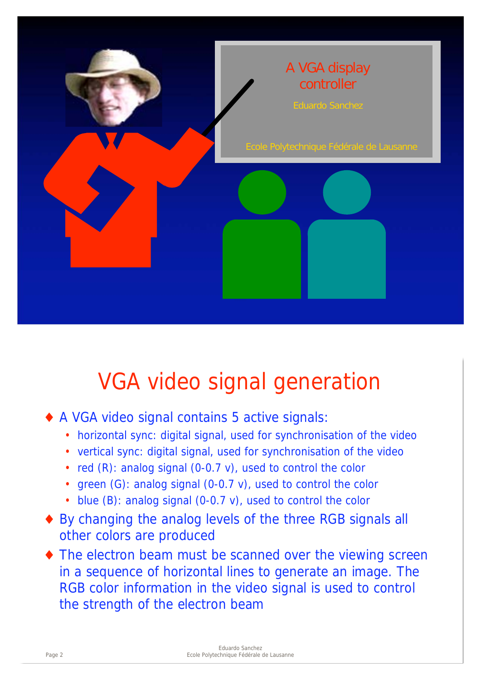

## VGA video signal generation

- A VGA video signal contains 5 active signals:
	- horizontal sync: digital signal, used for synchronisation of the video
	- vertical sync: digital signal, used for synchronisation of the video
	- red (R): analog signal (0-0.7 v), used to control the color
	- green (G): analog signal (0-0.7 v), used to control the color
	- blue (B): analog signal (0-0.7 v), used to control the color
- By changing the analog levels of the three RGB signals all other colors are produced
- $\bullet$  The electron beam must be scanned over the viewing screen in a sequence of horizontal lines to generate an image. The RGB color information in the video signal is used to control the strength of the electron beam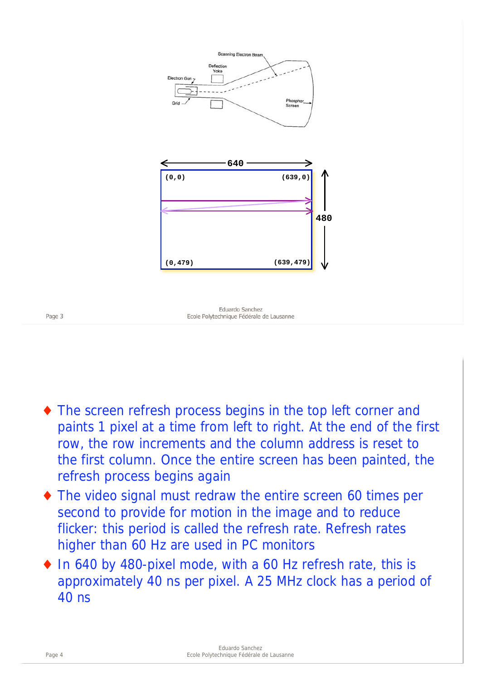

- The screen refresh process begins in the top left corner and paints 1 pixel at a time from left to right. At the end of the first row, the row increments and the column address is reset to the first column. Once the entire screen has been painted, the refresh process begins again
- The video signal must redraw the entire screen 60 times per second to provide for motion in the image and to reduce flicker: this period is called the refresh rate. Refresh rates higher than 60 Hz are used in PC monitors
- ◆ In 640 by 480-pixel mode, with a 60 Hz refresh rate, this is approximately 40 ns per pixel. A 25 MHz clock has a period of 40 ns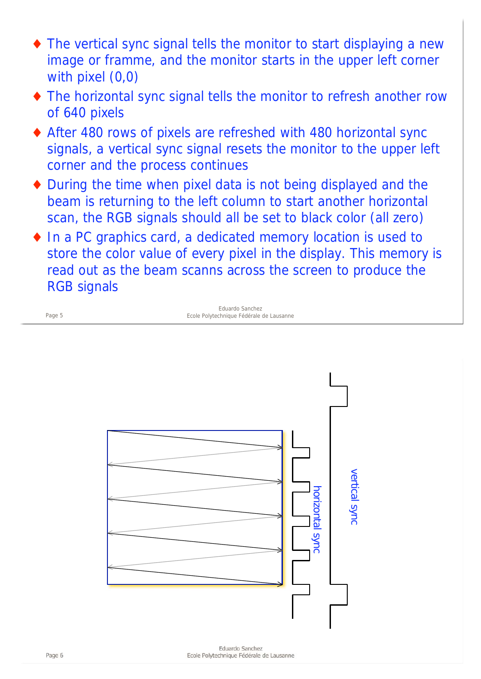- The vertical sync signal tells the monitor to start displaying a new image or framme, and the monitor starts in the upper left corner with pixel (0,0)
- The horizontal sync signal tells the monitor to refresh another row of 640 pixels
- After 480 rows of pixels are refreshed with 480 horizontal sync signals, a vertical sync signal resets the monitor to the upper left corner and the process continues
- During the time when pixel data is not being displayed and the beam is returning to the left column to start another horizontal scan, the RGB signals should all be set to black color (all zero)
- In a PC graphics card, a dedicated memory location is used to store the color value of every pixel in the display. This memory is read out as the beam scanns across the screen to produce the RGB signals

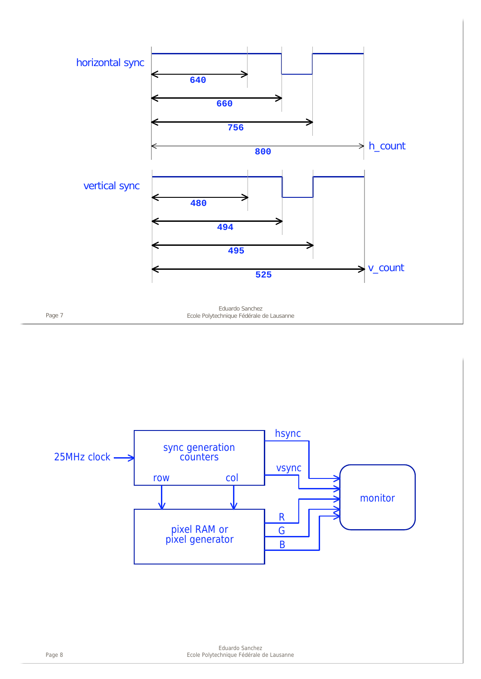

Eduardo Sanchez Page 7 Ecole Polytechnique Fédérale de Lausanne

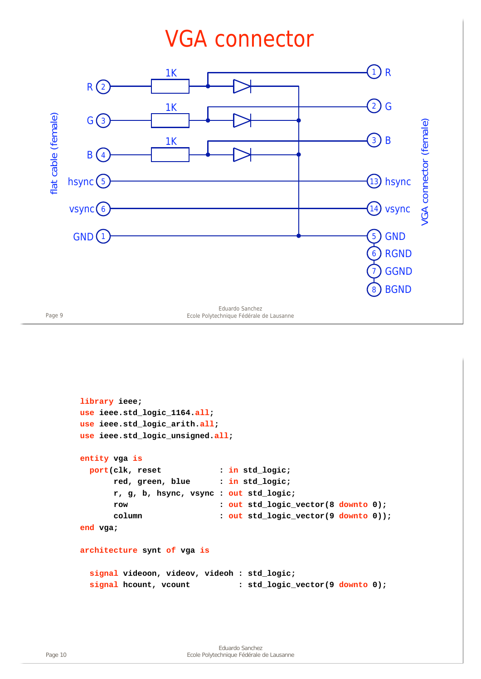## VGA connector



Page 9 Ecole Polytechnique Fédérale de Lausanne

```
library ieee;
use ieee.std_logic_1164.all;
use ieee.std_logic_arith.all;
use ieee.std_logic_unsigned.all;
entity vga is
  port(clk, reset : in std_logic;
       red, green, blue : in std_logic;
       r, g, b, hsync, vsync : out std_logic;
       row : out std_logic_vector(8 downto 0);
       column : out std_logic_vector(9 downto 0));
end vga;
architecture synt of vga is
  signal videoon, videov, videoh : std_logic;
 signal hcount, vcount : std_logic_vector(9 downto 0);
```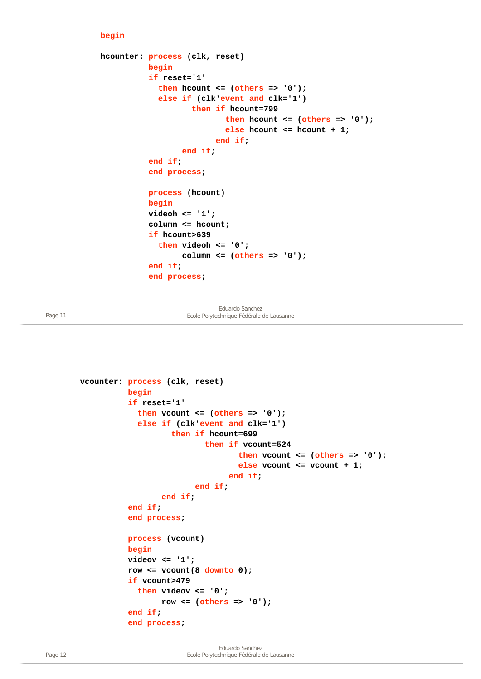## **begin**

```
hcounter: process (clk, reset)
           begin
            if reset='1'
              then hcount <= (others => '0');
              else if (clk'event and clk='1')
                     then if hcount=799
                             then hcount <= (others => '0');
                             else hcount <= hcount + 1;
                           end if;
                   end if;
            end if;
            end process;
           process (hcount)
           begin
           videoh <= '1';
           column <= hcount;
            if hcount>639
              then videoh <= '0';
                   column <= (others => '0');
            end if;
            end process;
```
Eduardo Sanchez Page 11 **Ecole Polytechnique Fédérale de Lausanne** 

```
vcounter: process (clk, reset)
           begin
            if reset='1'
              then vcount <= (others => '0');
              else if (clk'event and clk='1')
                     then if hcount=699
                             then if vcount=524
                                     then vcount <= (others => '0');
                                     else vcount <= vcount + 1;
                                  end if;
                           end if;
                   end if;
            end if;
            end process;
           process (vcount)
           begin
           videov <= '1';
           row <= vcount(8 downto 0);
            if vcount>479
              then videov <= '0';
                   row <= (others => '0');
            end if;
            end process;
```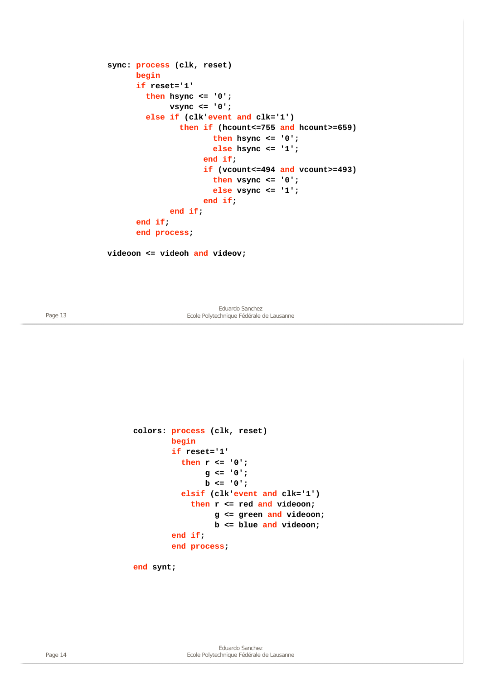```
sync: process (clk, reset)
       begin
       if reset='1'
         then hsync <= '0';
              vsync <= '0';
         else if (clk'event and clk='1')
                 then if (hcount<=755 and hcount>=659)
                        then hsync <= '0';
                       else hsync <= '1';
                      end if;
                      if (vcount<=494 and vcount>=493)
                        then vsync <= '0';
                       else vsync <= '1';
                      end if;
              end if;
       end if;
       end process;
```
**videoon <= videoh and videov;**

Eduardo Sanchez Page 13 Ecole Polytechnique Fédérale de Lausanne

```
colors: process (clk, reset)
         begin
         if reset='1'
           then r <= '0';
                 g <= '0';
                b <= '0';
           elsif (clk'event and clk='1')
              then r <= red and videoon;
                   g <= green and videoon;
                   b <= blue and videoon;
         end if;
         end process;
```
**end synt;**